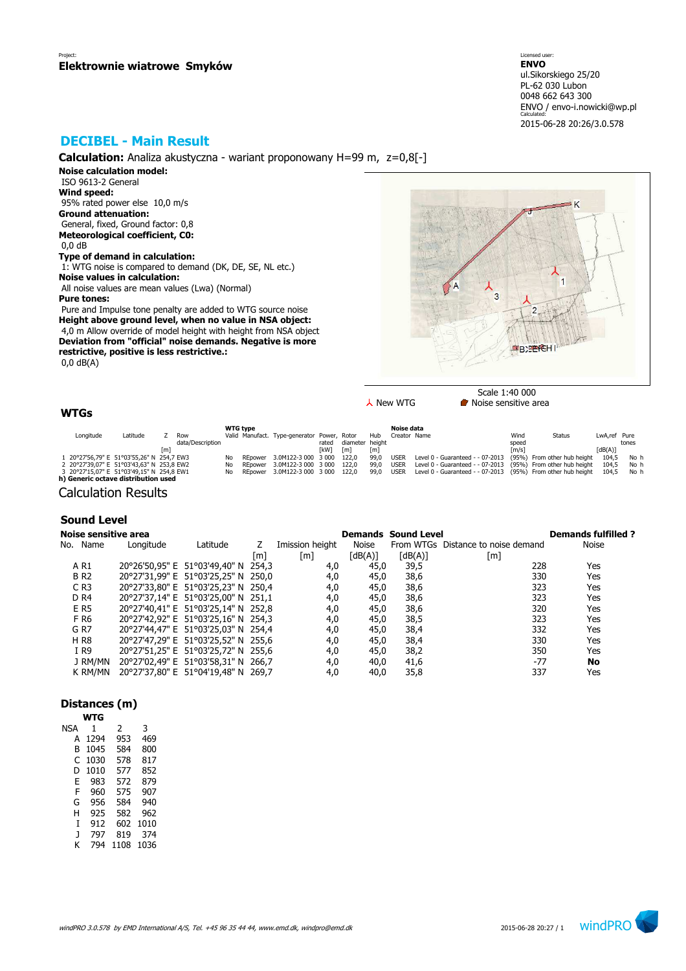# **DECIBEL - Main Result**

**Calculation:** Analiza akustyczna - wariant proponowany H=99 m, z=0,8[-]

**Noise calculation model:** ISO 9613-2 General **Wind speed:** 95% rated power else 10,0 m/s **Ground attenuation:** General, fixed, Ground factor: 0,8 **Meteorological coefficient, C0:** 0,0 dB **Type of demand in calculation:**

 1: WTG noise is compared to demand (DK, DE, SE, NL etc.) **Noise values in calculation:** All noise values are mean values (Lwa) (Normal)

**Pure tones:**

 Pure and Impulse tone penalty are added to WTG source noise **Height above ground level, when no value in NSA object:** 4,0 m Allow override of model height with height from NSA object **Deviation from "official" noise demands. Negative is more restrictive, positive is less restrictive.:** 0,0 dB(A)

K  $\overline{a}$ SEPEHI

Scale 1:40 000  $\lambda$  New WTG  $\blacksquare$  Noise sensitive area

## **WTGs**

|           |                                           |     |                  | <b>WTG type</b> |                                             |             |                 |      | Noise data   |                                                                         |                     |               |              |       |
|-----------|-------------------------------------------|-----|------------------|-----------------|---------------------------------------------|-------------|-----------------|------|--------------|-------------------------------------------------------------------------|---------------------|---------------|--------------|-------|
| Longitude | Latitude                                  |     | Row              |                 | Valid Manufact. Type-generator Power, Rotor |             |                 | Hub  | Creator Name |                                                                         | Wind                | <b>Status</b> | LwA.ref Pure |       |
|           |                                           |     | data/Description |                 |                                             | rated       | diameter height |      |              |                                                                         | speed               |               |              | tones |
|           |                                           | [m] |                  |                 |                                             | <b>TkW1</b> | [m]             | [m]  |              |                                                                         | $\lceil m/s \rceil$ |               | [dB(A)]      |       |
|           | 1 20°27'56.79" E 51°03'55.26" N 254.7 EW3 |     |                  | No.             | REpower 3.0M122-3 000 3 000 122,0           |             |                 | 99.0 | <b>USER</b>  | Level 0 - Guaranteed - - 07-2013 (95%) From other hub height            |                     |               | 104.5        | No h  |
|           | 2 20°27'39.07" E 51°03'43.63" N 253.8 EW2 |     |                  | No              | REpower 3.0M122-3 000 3 000 122.0           |             |                 | 99.0 | <b>USER</b>  | Level $0$ - Guaranteed - $-07-2013$ (95%) From other hub height 104,5   |                     |               |              | No h  |
|           | 3 20°27'15,07" E 51°03'49,15" N 254,8 EW1 |     |                  | No.             | REpower 3.0M122-3 000 3 000 122.0           |             |                 | 99.0 |              | USER Level 0 - Guaranteed - - 07-2013 (95%) From other hub height 104.5 |                     |               |              | No h  |
|           | h) Generic octave distribution used       |     |                  |                 |                                             |             |                 |      |              |                                                                         |                     |               |              |       |

Calculation Results

### **Sound Level**

| Noise sensitive area |           |                                     |     |                 |         | <b>Demands Sound Level</b> |                                    | <b>Demands fulfilled?</b> |
|----------------------|-----------|-------------------------------------|-----|-----------------|---------|----------------------------|------------------------------------|---------------------------|
| No. Name             | Longitude | Latitude                            |     | Imission height | Noise   |                            | From WTGs Distance to noise demand | <b>Noise</b>              |
|                      |           |                                     | [m] | [m]             | [dB(A)] | [dB(A)]                    | [m]                                |                           |
| A R1                 |           | 20°26'50.95" E 51°03'49.40" N 254.3 |     | 4,0             | 45,0    | 39,5                       | 228                                | Yes                       |
| <b>BR2</b>           |           | 20°27'31,99" E 51°03'25,25" N 250,0 |     | 4,0             | 45,0    | 38,6                       | 330                                | Yes                       |
| $C$ R <sub>3</sub>   |           | 20°27'33,80" E 51°03'25,23" N 250,4 |     | 4,0             | 45,0    | 38,6                       | 323                                | Yes                       |
| D <sub>R4</sub>      |           | 20°27'37,14" E 51°03'25,00" N 251,1 |     | 4,0             | 45,0    | 38,6                       | 323                                | Yes                       |
| E R5                 |           | 20°27'40,41" E 51°03'25,14" N 252,8 |     | 4,0             | 45,0    | 38,6                       | 320                                | Yes                       |
| F R6                 |           | 20°27'42,92" E 51°03'25,16" N 254,3 |     | 4,0             | 45,0    | 38,5                       | 323                                | Yes                       |
| G R7                 |           | 20°27'44,47" E 51°03'25,03" N 254,4 |     | 4,0             | 45,0    | 38,4                       | 332                                | Yes                       |
| <b>HR8</b>           |           | 20°27'47,29" E 51°03'25,52" N 255,6 |     | 4,0             | 45,0    | 38,4                       | 330                                | Yes                       |
| I R9                 |           | 20°27'51,25" E 51°03'25,72" N 255,6 |     | 4,0             | 45,0    | 38,2                       | 350                                | Yes                       |
| J RM/MN              |           | 20°27'02,49" E 51°03'58,31" N 266,7 |     | 4,0             | 40,0    | 41,6                       | $-77$                              | No                        |
| K RM/MN              |           | 20°27'37,80" E 51°04'19,48" N 269,7 |     | 4,0             | 40,0    | 35,8                       | 337                                | Yes                       |

### **Distances (m)**

|     | WTG  |      |      |
|-----|------|------|------|
| NSA | 1    | 2    | 3    |
| А   | 1294 | 953  | 469  |
| B   | 1045 | 584  | 800  |
| C   | 1030 | 578  | 817  |
| D   | 1010 | 577  | 852  |
| E   | 983  | 572  | 879  |
| F   | 960  | 575  | 907  |
| G   | 956  | 584  | 940  |
| н   | 925  | 582  | 962  |
| T   | 912  | 602  | 1010 |
| J   | 797  | 819  | 374  |
| ĸ   | 794  | 1108 | 1036 |

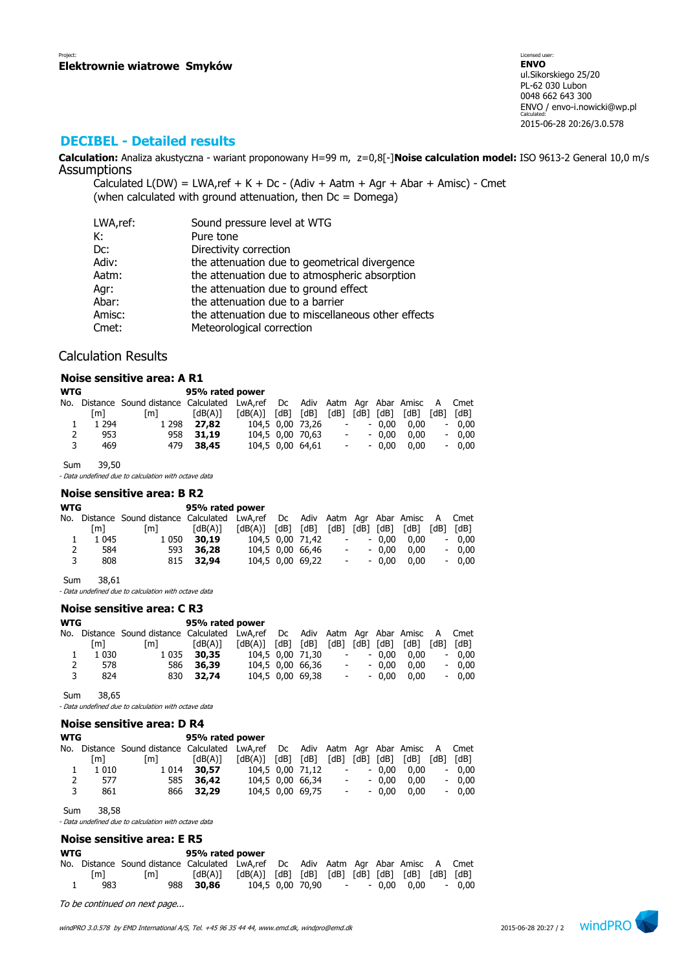## **DECIBEL - Detailed results**

**Calculation:** Analiza akustyczna - wariant proponowany H=99 m, z=0,8[-]**Noise calculation model:** ISO 9613-2 General 10,0 m/s **Assumptions** 

Calculated  $L(DW) = LWA$ , ref + K + Dc - (Adiv + Aatm + Agr + Abar + Amisc) - Cmet (when calculated with ground attenuation, then  $Dc = D$ omega)

| LWA,ref: | Sound pressure level at WTG                        |
|----------|----------------------------------------------------|
| К:       | Pure tone                                          |
| Dc:      | Directivity correction                             |
| Adiv:    | the attenuation due to geometrical divergence      |
| Aatm:    | the attenuation due to atmospheric absorption      |
| Agr:     | the attenuation due to ground effect               |
| Abar:    | the attenuation due to a barrier                   |
| Amisc:   | the attenuation due to miscellaneous other effects |
| Cmet:    | Meteorological correction                          |

### Calculation Results

#### **Noise sensitive area: A R1**

| <b>WTG</b> |         |                                                                                   | 95% rated power |                         |                  |                |            |         |      |      |         |
|------------|---------|-----------------------------------------------------------------------------------|-----------------|-------------------------|------------------|----------------|------------|---------|------|------|---------|
|            |         | No. Distance Sound distance Calculated LwA,ref Dc Adiv Aatm Agr Abar Amisc A Cmet |                 |                         |                  |                |            |         |      |      |         |
|            | [m]     | [m]                                                                               | [dB(A)]         | $[dB(A)]$ $[dB]$ $[dB]$ |                  | [dB] [dB] [dB] |            |         | [dB] | [dB] | [dB]    |
|            | 1 2 9 4 | 1 2 9 8                                                                           | 27.82           | 104.5 0.00 73.26        |                  |                | $\sim 100$ | $-0.00$ | 0.00 |      | $-0.00$ |
| 2          | 953     |                                                                                   | 958 31.19       |                         | 104.5 0.00 70.63 |                | $\sim 100$ | $-0.00$ | 0.00 |      | $-0.00$ |
| 3          | 469     |                                                                                   | 479 38.45       |                         | 104.5 0.00 64.61 |                | $\sim 100$ | $-0.00$ | 0.00 |      | $-0.00$ |

Sum 39,50

- Data undefined due to calculation with octave data

#### **Noise sensitive area: B R2**

| <b>WTG</b> |         |                                                                                   | 95% rated power |                         |                  |                          |            |                |      |           |
|------------|---------|-----------------------------------------------------------------------------------|-----------------|-------------------------|------------------|--------------------------|------------|----------------|------|-----------|
|            |         | No. Distance Sound distance Calculated LwA,ref Dc Adiv Aatm Agr Abar Amisc A Cmet |                 |                         |                  |                          |            |                |      |           |
|            | [m]     | [m]                                                                               | [dB(A)]         | $[dB(A)]$ $[dB]$ $[dB]$ |                  |                          |            | [dB] [dB] [dB] | [dB] | [dB] [dB] |
|            | 1 0 4 5 | 1 0 5 0                                                                           | 30,19           | 104.5 0.00 71.42        |                  |                          | $\sim 100$ | $-0.00$        | 0.00 | $-0.00$   |
| 2          | 584     |                                                                                   | 593 36,28       |                         | 104.5 0.00 66.46 | $\overline{\phantom{a}}$ |            | $-0.00$        | 0.00 | $-0.00$   |
| 3          | 808     |                                                                                   | 815 32.94       |                         | 104,5 0,00 69,22 |                          | $\sim 100$ | $-0.00$        | 0.00 | $-0.00$   |
|            |         |                                                                                   |                 |                         |                  |                          |            |                |      |           |

Sum 38,61

- Data undefined due to calculation with octave data

### **Noise sensitive area: C R3**

| <b>WTG</b> |         |                                                                                   | 95% rated power |                         |                  |                          |            |         |      |                          |         |
|------------|---------|-----------------------------------------------------------------------------------|-----------------|-------------------------|------------------|--------------------------|------------|---------|------|--------------------------|---------|
|            |         | No. Distance Sound distance Calculated LwA,ref Dc Adiv Aatm Agr Abar Amisc A Cmet |                 |                         |                  |                          |            |         |      |                          |         |
|            | [m]     | [m]                                                                               | [dB(A)]         | $[dB(A)]$ $[dB]$ $[dB]$ |                  | $[dB]$ $[dB]$ $[dB]$     |            |         | [dB] | [dB]                     | [dB]    |
|            | 1 0 3 0 |                                                                                   | 1 0 35 30, 35   |                         | 104.5 0.00 71.30 |                          | $\sim 100$ | $-0.00$ | 0.00 | $\overline{\phantom{a}}$ | 0.00    |
| 2          | 578     |                                                                                   | 586 36.39       |                         | 104,5 0,00 66,36 | $\overline{\phantom{a}}$ |            | $-0.00$ | 0.00 |                          | $-0.00$ |
| 3          | 824     |                                                                                   | 830 32.74       |                         | 104,5 0,00 69,38 |                          | $\sim 100$ | $-0.00$ | 0.00 |                          | $-0.00$ |

Sum 38,65

- Data undefined due to calculation with octave data

|            | Noise sensitive area: D R4 |                                                                              |                 |         |      |                  |                          |               |         |      |      |         |  |
|------------|----------------------------|------------------------------------------------------------------------------|-----------------|---------|------|------------------|--------------------------|---------------|---------|------|------|---------|--|
| <b>WTG</b> |                            |                                                                              | 95% rated power |         |      |                  |                          |               |         |      |      |         |  |
|            |                            | No. Distance Sound distance Calculated LwA,ref Dc Adiv Aatm Agr Abar Amisc A |                 |         |      |                  |                          |               |         |      |      | Cmet    |  |
|            | [m]                        | [m]                                                                          | [dB(A)]         | [dB(A)] | [dB] | [dB]             |                          | $[dB]$ $[dB]$ | [dB]    | [dB] | [dB] | [dB]    |  |
|            | 1 0 1 0                    | 1 0 1 4                                                                      | 30,57           |         |      | 104,5 0,00 71,12 |                          |               | $-0.00$ | 0.00 |      | $-0,00$ |  |
| 2          | 577                        | 585                                                                          | 36,42           |         |      | 104,5 0,00 66,34 | $\overline{\phantom{a}}$ |               | $-0.00$ | 0.00 |      | $-0,00$ |  |
| 3          | 861                        | 866                                                                          | 32,29           |         |      | 104,5 0,00 69,75 | $\sim$                   |               | $-0.00$ | 0.00 |      | $-0.00$ |  |
|            |                            |                                                                              |                 |         |      |                  |                          |               |         |      |      |         |  |

Sum 38,58

- Data undefined due to calculation with octave data

### **Noise sensitive area: E R5**

| WTG |     |                                                                                   | 95% rated power |                                                                                                                                                                                  |  |  |                                |         |
|-----|-----|-----------------------------------------------------------------------------------|-----------------|----------------------------------------------------------------------------------------------------------------------------------------------------------------------------------|--|--|--------------------------------|---------|
|     |     | No. Distance Sound distance Calculated LwA,ref Dc Adiv Aatm Agr Abar Amisc A Cmet |                 |                                                                                                                                                                                  |  |  |                                |         |
|     | [m] | l m I                                                                             |                 | $\lceil dB(A) \rceil$ $\lceil dB(A) \rceil$ $\lceil dB \rceil$ $\lceil dB \rceil$ $\lceil dB \rceil$ $\lceil dB \rceil$ $\lceil dB \rceil$ $\lceil dB \rceil$ $\lceil dB \rceil$ |  |  |                                |         |
|     | 983 |                                                                                   | 988 30.86       |                                                                                                                                                                                  |  |  | 104.5 0.00 70.90 - - 0.00 0.00 | $-0.00$ |

To be continued on next page...

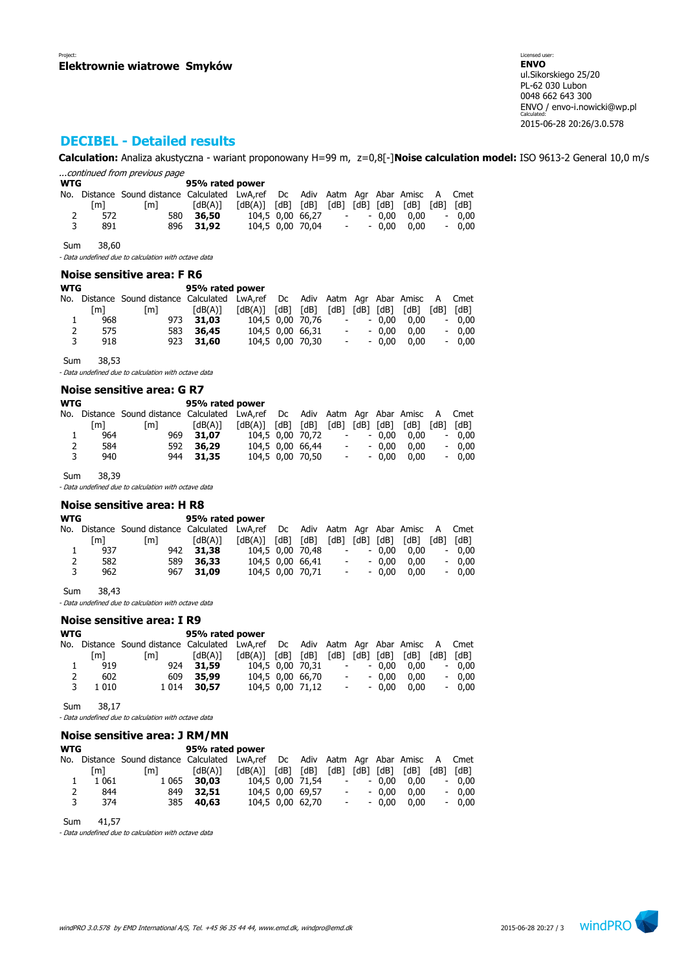# **DECIBEL - Detailed results**

**Calculation:** Analiza akustyczna - wariant proponowany H=99 m, z=0,8[-]**Noise calculation model:** ISO 9613-2 General 10,0 m/s ...continued from previous page

| <b>WTG</b> |     |                                                                                   | 95% rated power |                                                                                                                                                            |                  |                     |         |      |         |
|------------|-----|-----------------------------------------------------------------------------------|-----------------|------------------------------------------------------------------------------------------------------------------------------------------------------------|------------------|---------------------|---------|------|---------|
|            |     | No. Distance Sound distance Calculated LwA,ref Dc Adiv Aatm Agr Abar Amisc A Cmet |                 |                                                                                                                                                            |                  |                     |         |      |         |
|            | [m] | [m]                                                                               | [dB(A)]         | $\lceil dB(A) \rceil$ $\lceil dB \rceil$ $\lceil dB \rceil$ $\lceil dB \rceil$ $\lceil dB \rceil$ $\lceil dB \rceil$ $\lceil dB \rceil$ $\lceil dB \rceil$ |                  |                     |         |      |         |
| 2          | 572 | 580                                                                               | 36,50           |                                                                                                                                                            | 104,5 0,00 66,27 | $\sim 100$          | $-0.00$ | 0.00 | $-0.00$ |
| 3          | 891 |                                                                                   | 896 31.92       |                                                                                                                                                            | 104.5 0.00 70.04 | $\sigma_{\rm{max}}$ | $-0.00$ | 0.00 | $-0.00$ |

Sum 38,60

- Data undefined due to calculation with octave data

### **Noise sensitive area: F R6**

| WTG            |     |                                                                               | 95% rated power |                         |                  |                          |            |                |      |      |         |
|----------------|-----|-------------------------------------------------------------------------------|-----------------|-------------------------|------------------|--------------------------|------------|----------------|------|------|---------|
| No.            |     | Distance Sound distance Calculated LwA,ref Dc Adiv Aatm Agr Abar Amisc A Cmet |                 |                         |                  |                          |            |                |      |      |         |
|                | [m] | [m]                                                                           | [dB(A)]         | $[dB(A)]$ $[dB]$ $[dB]$ |                  |                          |            | [dB] [dB] [dB] | [dB] | [dB] | [dB]    |
| ı              | 968 |                                                                               | 973 31.03       |                         | 104.5 0.00 70.76 |                          | $\sim 100$ | $-0.00$        | 0.00 |      | $-0.00$ |
| $\overline{2}$ | 575 | 583                                                                           | 36,45           |                         | 104,5 0,00 66,31 | $\overline{\phantom{a}}$ |            | $-0.00$        | 0.00 |      | $-0.00$ |
| 3              | 918 |                                                                               | 923 31,60       |                         | 104,5 0,00 70,30 | $ \,$                    |            | $-0.00$        | 0.00 |      | $-0.00$ |
|                |     |                                                                               |                 |                         |                  |                          |            |                |      |      |         |

Sum 38,53

- Data undefined due to calculation with octave data

#### **Noise sensitive area: G R7**

| <b>WTG</b> |     |                                                                                   | 95% rated power |                         |                  |                          |         |      |                          |         |
|------------|-----|-----------------------------------------------------------------------------------|-----------------|-------------------------|------------------|--------------------------|---------|------|--------------------------|---------|
|            |     | No. Distance Sound distance Calculated LwA,ref Dc Adiv Aatm Agr Abar Amisc A Cmet |                 |                         |                  |                          |         |      |                          |         |
|            | [m] | [m]                                                                               | [dB(A)]         | $[dB(A)]$ $[dB]$ $[dB]$ |                  | [dB] [dB] [dB]           |         | [dB] | [dB]                     | [dB]    |
|            | 964 | 969                                                                               | 31.07           |                         | 104.5 0.00 70.72 | $\overline{\phantom{a}}$ | $-0.00$ | 0.00 | $\sim$                   | 0.00    |
| 2          | 584 | 592                                                                               | 36,29           |                         | 104.5 0.00 66.44 | $\sim$                   | $-0.00$ | 0.00 |                          | $-0.00$ |
| 3          | 940 |                                                                                   | 944 31.35       |                         | 104.5 0.00 70.50 | $\overline{\phantom{a}}$ | $-0.00$ | 0.00 | $\overline{\phantom{a}}$ | 0.00    |

Sum 38,39

- Data undefined due to calculation with octave data

### **Noise sensitive area: H R8**

| WTG |     | 95% rated power                                                                   |           |                   |  |                  |            |         |                                    |         |
|-----|-----|-----------------------------------------------------------------------------------|-----------|-------------------|--|------------------|------------|---------|------------------------------------|---------|
|     |     | No. Distance Sound-distance Calculated LwA,ref Dc Adiv Aatm Agr Abar Amisc A Cmet |           |                   |  |                  |            |         |                                    |         |
|     | [m] | fm1                                                                               | [dB(A)]   | [dB(A)] [dB] [dB] |  |                  |            |         | $[dB]$ $[dB]$ $[dB]$ $[dB]$ $[dB]$ | [dB]    |
|     | 937 |                                                                                   | 942 31.38 |                   |  | 104.5 0.00 70.48 | $\sim 100$ | $-0.00$ | 0.00                               | $-0.00$ |
| 2   | 582 |                                                                                   | 589 36,33 | 104,5 0,00 66,41  |  |                  | $\sim 100$ | $-0.00$ | 0.00                               | $-0.00$ |
| 3   | 962 |                                                                                   | 967 31.09 |                   |  | 104,5 0,00 70,71 | $\sim 100$ | $-0.00$ | 0.00                               | $-0,00$ |

Sum 38,43

- Data undefined due to calculation with octave data

#### **Noise sensitive area: I R9**

| WTG |         | 95% rated power                                                               |              |                         |  |                  |      |            |           |      |      |         |
|-----|---------|-------------------------------------------------------------------------------|--------------|-------------------------|--|------------------|------|------------|-----------|------|------|---------|
| No. |         | Distance Sound distance Calculated LwA,ref Dc Adiv Aatm Agr Abar Amisc A Cmet |              |                         |  |                  |      |            |           |      |      |         |
|     | [m]     | $\lceil m \rceil$                                                             | [dB(A)]      | $[dB(A)]$ $[dB]$ $[dB]$ |  |                  | [dB] |            | [dB] [dB] | [dB] | [dB] | [dB]    |
|     | 919     |                                                                               | 924 31.59    |                         |  | 104.5 0.00 70.31 |      | $\sim 100$ | $-0.00$   | 0.00 |      | $-0.00$ |
| 2   | 602     |                                                                               | 609 35,99    |                         |  | 104,5 0,00 66,70 |      | $\sim 100$ | $-0.00$   | 0.00 |      | $-0.00$ |
| 3   | 1 0 1 0 |                                                                               | 1 0 14 30.57 |                         |  | 104,5 0,00 71,12 |      | $\sim 100$ | $-0.00$   | 0.00 |      | $-0.00$ |
|     |         |                                                                               |              |                         |  |                  |      |            |           |      |      |         |

Sum 38,17

- Data undefined due to calculation with octave data

### **Noise sensitive area: J RM/MN**

| <b>WTG</b> |         | 95% rated power                                                               |           |                         |  |                  |  |            |         |                             |      |         |
|------------|---------|-------------------------------------------------------------------------------|-----------|-------------------------|--|------------------|--|------------|---------|-----------------------------|------|---------|
| No.        |         | Distance Sound distance Calculated LwA,ref Dc Adiv Aatm Agr Abar Amisc A Cmet |           |                         |  |                  |  |            |         |                             |      |         |
|            | [m]     | [m]                                                                           | [dB(A)]   | $[dB(A)]$ $[dB]$ $[dB]$ |  |                  |  |            |         | $[dB]$ $[dB]$ $[dB]$ $[dB]$ | [dB] | [dB]    |
|            | 1 0 6 1 | 1 0 6 5                                                                       | 30,03     |                         |  | 104.5 0.00 71.54 |  | $\sim 100$ | $-0.00$ | 0.00                        |      | $-0.00$ |
|            | 844     | 849                                                                           | 32.51     |                         |  | 104.5 0.00 69.57 |  | $\sim 100$ | $-0.00$ | 0.00                        |      | $-0.00$ |
| २          | 374     |                                                                               | 385 40.63 |                         |  | 104,5 0,00 62,70 |  | $\sim 100$ | $-0.00$ | 0.00                        |      | $-0.00$ |

Sum 41,57

- Data undefined due to calculation with octave data

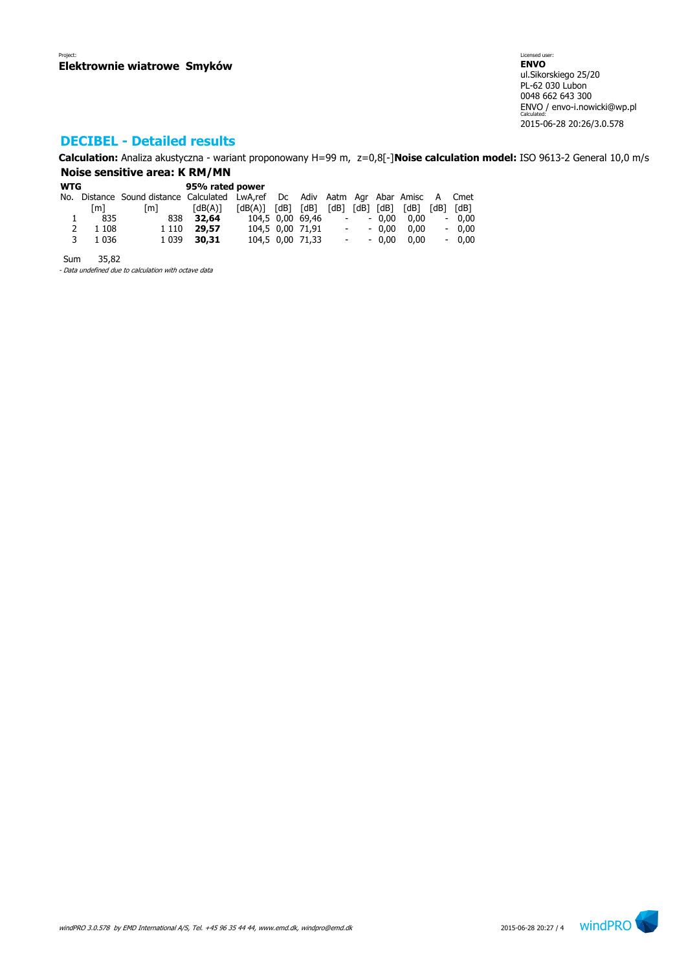# **DECIBEL - Detailed results**

**Calculation:** Analiza akustyczna - wariant proponowany H=99 m, z=0,8[-]**Noise calculation model:** ISO 9613-2 General 10,0 m/s **Noise sensitive area: K RM/MN**

| <b>WTG</b> |         | 95% rated power                                                                   |                       |                         |  |                  |                          |            |                |      |      |         |
|------------|---------|-----------------------------------------------------------------------------------|-----------------------|-------------------------|--|------------------|--------------------------|------------|----------------|------|------|---------|
|            |         | No. Distance Sound distance Calculated LwA,ref Dc Adiv Aatm Agr Abar Amisc A Cmet |                       |                         |  |                  |                          |            |                |      |      |         |
|            | [m]     | [m]                                                                               | $\lceil dB(A) \rceil$ | $[dB(A)]$ $[dB]$ $[dB]$ |  |                  |                          |            | [dB] [dB] [dB] | [dB] | [dB] | [dB]    |
|            | 835     | 838                                                                               | 32,64                 | 104,5 0,00 69,46        |  |                  | $\overline{\phantom{a}}$ |            | - 0.00         | 0.00 |      | $-0,00$ |
| 2          | 1 1 0 8 | 1 1 1 0                                                                           | 29,57                 |                         |  | 104,5 0,00 71,91 |                          | $\sim 100$ | $-0.00$        | 0.00 |      | $-0,00$ |
| 3          | 1 0 3 6 | 1 0 3 9                                                                           | 30,31                 |                         |  | 104,5 0,00 71,33 |                          | $\sim 100$ | $-0.00$        | 0.00 |      | $-0,00$ |
|            |         |                                                                                   |                       |                         |  |                  |                          |            |                |      |      |         |

Sum 35,82

- Data undefined due to calculation with octave data

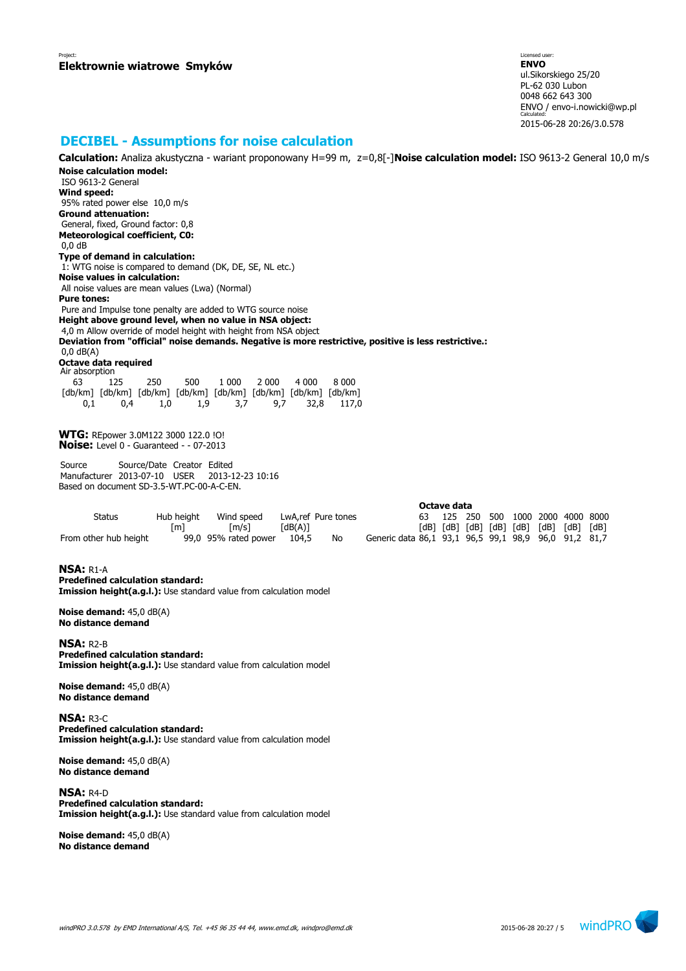### **DECIBEL - Assumptions for noise calculation**

**Calculation:** Analiza akustyczna - wariant proponowany H=99 m, z=0,8[-]**Noise calculation model:** ISO 9613-2 General 10,0 m/s **Noise calculation model:** ISO 9613-2 General **Wind speed:** 95% rated power else 10,0 m/s **Ground attenuation:** General, fixed, Ground factor: 0,8 **Meteorological coefficient, C0:** 0,0 dB **Type of demand in calculation:** 1: WTG noise is compared to demand (DK, DE, SE, NL etc.) **Noise values in calculation:** All noise values are mean values (Lwa) (Normal) **Pure tones:** Pure and Impulse tone penalty are added to WTG source noise **Height above ground level, when no value in NSA object:** 4,0 m Allow override of model height with height from NSA object **Deviation from "official" noise demands. Negative is more restrictive, positive is less restrictive.:** 0,0 dB(A) **Octave data required** Air absorption 63 125 250 500 1 000 2 000 4 000 8 000 [db/km] [db/km] [db/km] [db/km] [db/km] [db/km] [db/km] [db/km] 0,1 0,4 1,0 1,9 3,7 9,7 32,8 117,0 **WTG:** REpower 3.0M122 3000 122.0 !O! **Noise:** Level 0 - Guaranteed - - 07-2013 Source Source/Date Creator Edited Manufacturer 2013-07-10 USER 2013-12-23 10:16 Based on document SD-3.5-WT.PC-00-A-C-EN. **Octave data** Status Hub height Wind speed LwA,ref Pure tones 63 125 250 500 1000 2000 4000 8000 [m] [m/s] [dB(A)] [dB] [dB] [dB] [dB] [dB] [dB] [dB] [dB] From other hub height 99,0 95% rated power 104,5 No Generic data 86,1 93,1 96,5 99,1 98,9 96,0 91,2 81,7 **NSA:** R1-A **Predefined calculation standard: Imission height(a.g.l.):** Use standard value from calculation model **Noise demand:** 45,0 dB(A) **No distance demand NSA:** R2-B **Predefined calculation standard:** 

**Imission height(a.g.l.):** Use standard value from calculation model

**Noise demand:** 45,0 dB(A) **No distance demand**

**NSA:** R3-C **Predefined calculation standard: Imission height(a.g.l.):** Use standard value from calculation model

**Noise demand:** 45,0 dB(A) **No distance demand**

**NSA:** R4-D **Predefined calculation standard: Imission height(a.g.l.):** Use standard value from calculation model

**Noise demand:** 45,0 dB(A) **No distance demand**